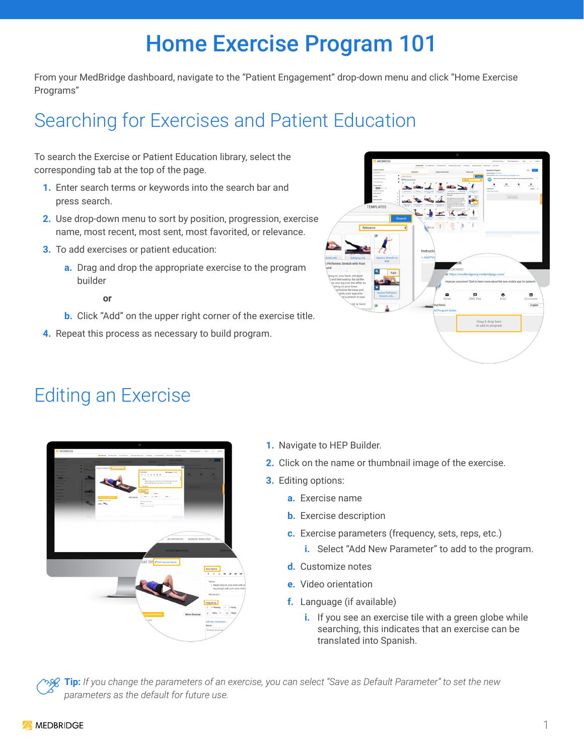# Home Exercise Program 101

From your MedBridge dashboard, navigate to the "Patient Engagement" drop-down menu and click "Home Exercise Programs"

## Searching for Exercises and Patient Education

To search the Exercise or Patient Education library, select the corresponding tab at the top of the page.

- **1.** Enter search terms or keywords into the search bar and press search.
- **2.** Use drop-down menu to sort by position, progression, exercise name, most recent, most sent, most favorited, or relevance.
- **3.** To add exercises or patient education:
	- **a.** Drag and drop the appropriate exercise to the program builder
- **or** 
	- **b.** Click "Add" on the upper right corner of the exercise title.
	- **4.** Repeat this process as necessary to build program.



#### Editing an Exercise



- **1.** Navigate to HEP Builder.
- **2.** Click on the name or thumbnail image of the exercise.
- **3.** Editing options:
	- **a.** Exercise name
	- **b.** Exercise description
	- **c.** Exercise parameters (frequency, sets, reps, etc.)
		- **i.** Select "Add New Parameter" to add to the program.
	- **d.** Customize notes
	- **e.** Video orientation
	- **f.** Language (if available)
		- **i.** If you see an exercise tile with a green globe while searching, this indicates that an exercise can be translated into Spanish.

**Tip:** *If you change the parameters of an exercise, you can select "Save as Default Parameter" to set the new parameters as the default for future use.*